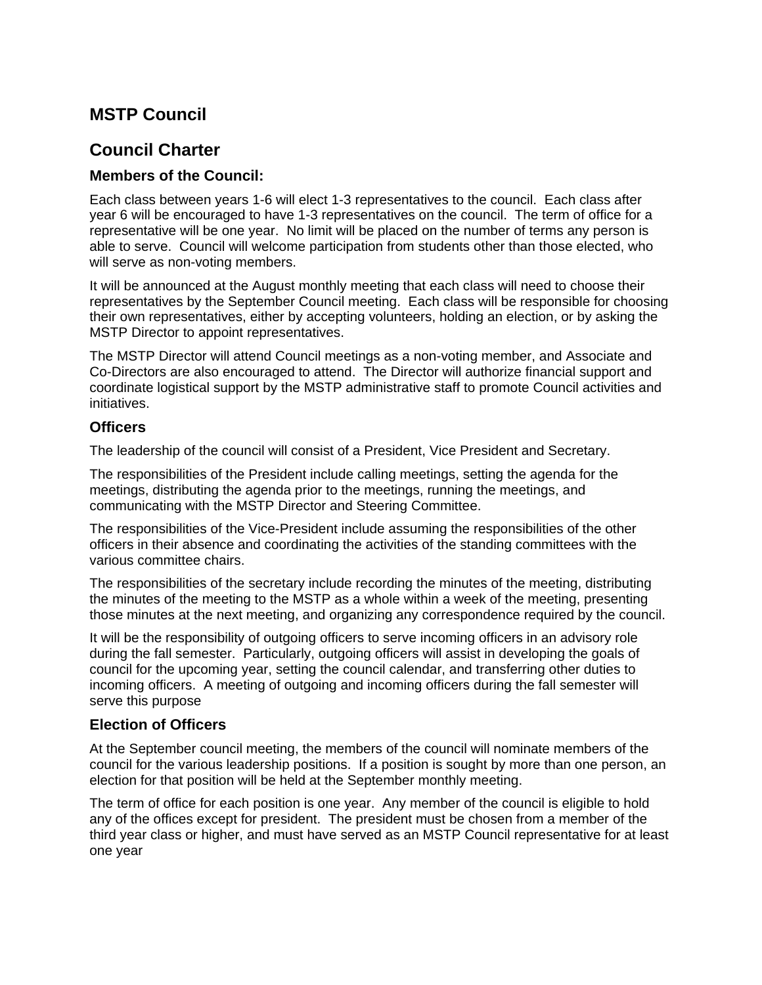## **MSTP Council**

# **Council Charter**

## **Members of the Council:**

Each class between years 1-6 will elect 1-3 representatives to the council. Each class after year 6 will be encouraged to have 1-3 representatives on the council. The term of office for a representative will be one year. No limit will be placed on the number of terms any person is able to serve. Council will welcome participation from students other than those elected, who will serve as non-voting members.

It will be announced at the August monthly meeting that each class will need to choose their representatives by the September Council meeting. Each class will be responsible for choosing their own representatives, either by accepting volunteers, holding an election, or by asking the MSTP Director to appoint representatives.

The MSTP Director will attend Council meetings as a non-voting member, and Associate and Co-Directors are also encouraged to attend. The Director will authorize financial support and coordinate logistical support by the MSTP administrative staff to promote Council activities and initiatives.

## **Officers**

The leadership of the council will consist of a President, Vice President and Secretary.

The responsibilities of the President include calling meetings, setting the agenda for the meetings, distributing the agenda prior to the meetings, running the meetings, and communicating with the MSTP Director and Steering Committee.

The responsibilities of the Vice-President include assuming the responsibilities of the other officers in their absence and coordinating the activities of the standing committees with the various committee chairs.

The responsibilities of the secretary include recording the minutes of the meeting, distributing the minutes of the meeting to the MSTP as a whole within a week of the meeting, presenting those minutes at the next meeting, and organizing any correspondence required by the council.

It will be the responsibility of outgoing officers to serve incoming officers in an advisory role during the fall semester. Particularly, outgoing officers will assist in developing the goals of council for the upcoming year, setting the council calendar, and transferring other duties to incoming officers. A meeting of outgoing and incoming officers during the fall semester will serve this purpose

## **Election of Officers**

At the September council meeting, the members of the council will nominate members of the council for the various leadership positions. If a position is sought by more than one person, an election for that position will be held at the September monthly meeting.

The term of office for each position is one year. Any member of the council is eligible to hold any of the offices except for president. The president must be chosen from a member of the third year class or higher, and must have served as an MSTP Council representative for at least one year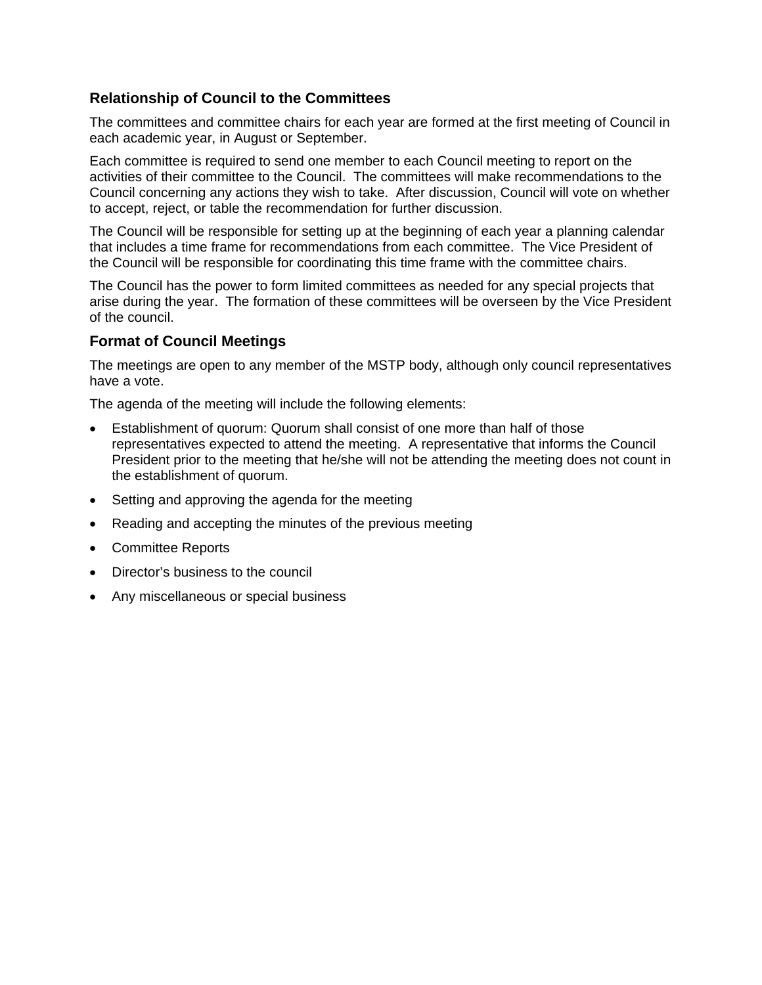## **Relationship of Council to the Committees**

The committees and committee chairs for each year are formed at the first meeting of Council in each academic year, in August or September.

Each committee is required to send one member to each Council meeting to report on the activities of their committee to the Council. The committees will make recommendations to the Council concerning any actions they wish to take. After discussion, Council will vote on whether to accept, reject, or table the recommendation for further discussion.

The Council will be responsible for setting up at the beginning of each year a planning calendar that includes a time frame for recommendations from each committee. The Vice President of the Council will be responsible for coordinating this time frame with the committee chairs.

The Council has the power to form limited committees as needed for any special projects that arise during the year. The formation of these committees will be overseen by the Vice President of the council.

#### **Format of Council Meetings**

The meetings are open to any member of the MSTP body, although only council representatives have a vote.

The agenda of the meeting will include the following elements:

- Establishment of quorum: Quorum shall consist of one more than half of those representatives expected to attend the meeting. A representative that informs the Council President prior to the meeting that he/she will not be attending the meeting does not count in the establishment of quorum.
- Setting and approving the agenda for the meeting
- Reading and accepting the minutes of the previous meeting
- Committee Reports
- Director's business to the council
- Any miscellaneous or special business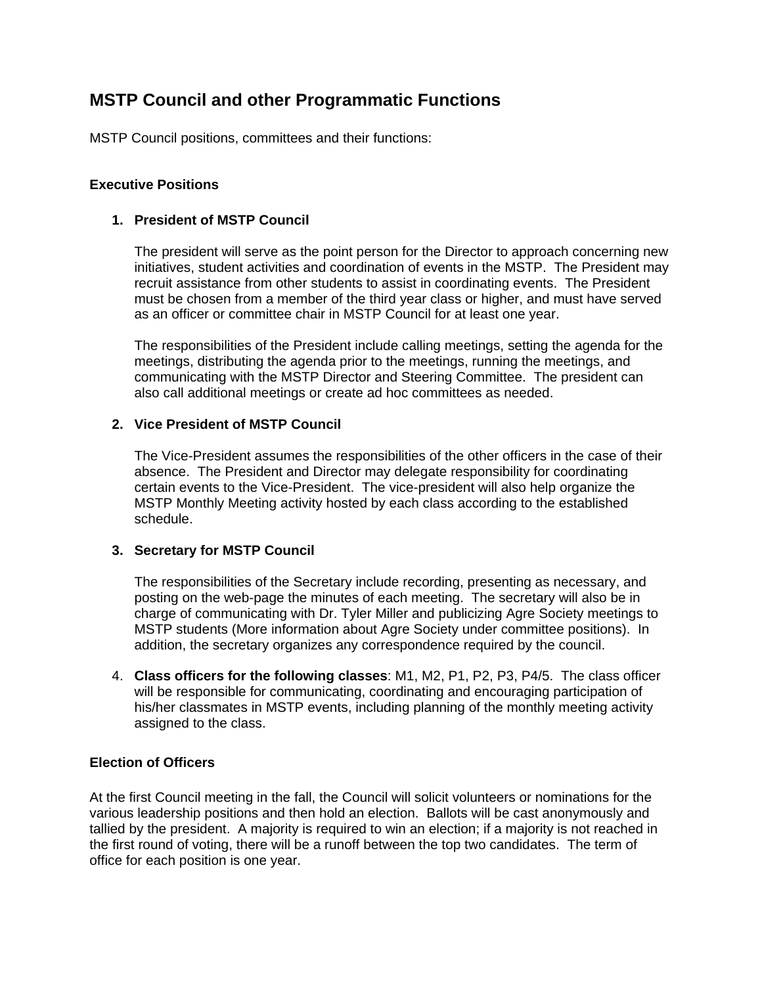## **MSTP Council and other Programmatic Functions**

MSTP Council positions, committees and their functions:

#### **Executive Positions**

#### **1. President of MSTP Council**

The president will serve as the point person for the Director to approach concerning new initiatives, student activities and coordination of events in the MSTP. The President may recruit assistance from other students to assist in coordinating events. The President must be chosen from a member of the third year class or higher, and must have served as an officer or committee chair in MSTP Council for at least one year.

The responsibilities of the President include calling meetings, setting the agenda for the meetings, distributing the agenda prior to the meetings, running the meetings, and communicating with the MSTP Director and Steering Committee. The president can also call additional meetings or create ad hoc committees as needed.

#### **2. Vice President of MSTP Council**

The Vice-President assumes the responsibilities of the other officers in the case of their absence. The President and Director may delegate responsibility for coordinating certain events to the Vice-President. The vice-president will also help organize the MSTP Monthly Meeting activity hosted by each class according to the established schedule.

#### **3. Secretary for MSTP Council**

The responsibilities of the Secretary include recording, presenting as necessary, and posting on the web-page the minutes of each meeting. The secretary will also be in charge of communicating with Dr. Tyler Miller and publicizing Agre Society meetings to MSTP students (More information about Agre Society under committee positions). In addition, the secretary organizes any correspondence required by the council.

4. **Class officers for the following classes**: M1, M2, P1, P2, P3, P4/5. The class officer will be responsible for communicating, coordinating and encouraging participation of his/her classmates in MSTP events, including planning of the monthly meeting activity assigned to the class.

#### **Election of Officers**

At the first Council meeting in the fall, the Council will solicit volunteers or nominations for the various leadership positions and then hold an election. Ballots will be cast anonymously and tallied by the president. A majority is required to win an election; if a majority is not reached in the first round of voting, there will be a runoff between the top two candidates. The term of office for each position is one year.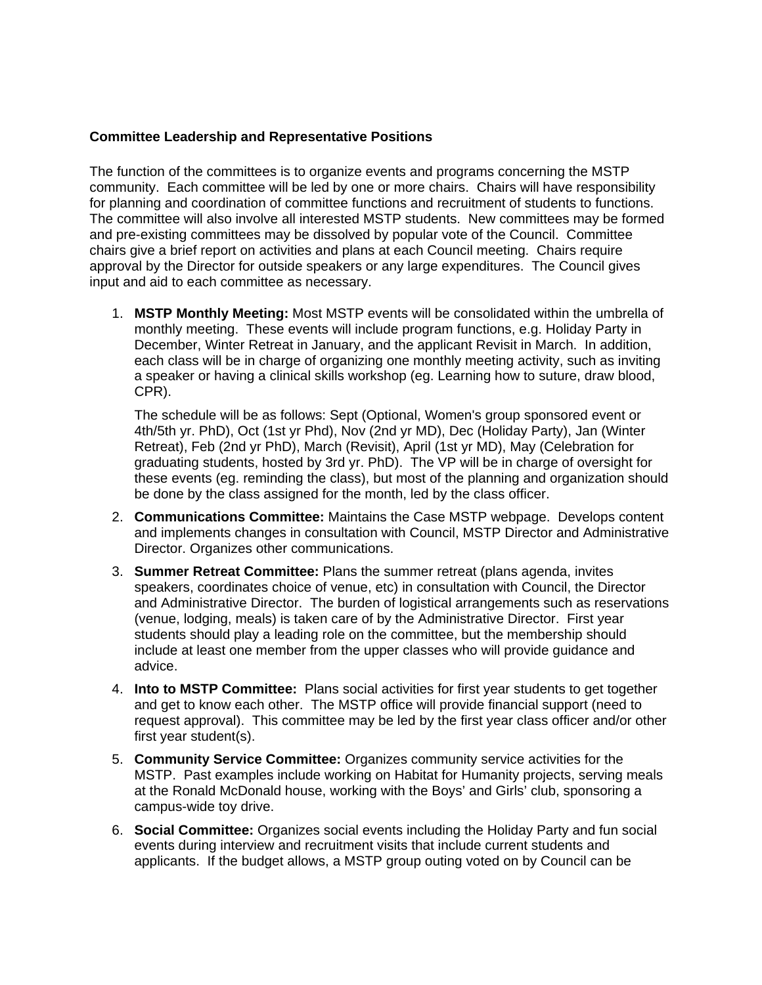#### **Committee Leadership and Representative Positions**

The function of the committees is to organize events and programs concerning the MSTP community. Each committee will be led by one or more chairs. Chairs will have responsibility for planning and coordination of committee functions and recruitment of students to functions. The committee will also involve all interested MSTP students. New committees may be formed and pre-existing committees may be dissolved by popular vote of the Council. Committee chairs give a brief report on activities and plans at each Council meeting. Chairs require approval by the Director for outside speakers or any large expenditures. The Council gives input and aid to each committee as necessary.

1. **MSTP Monthly Meeting:** Most MSTP events will be consolidated within the umbrella of monthly meeting. These events will include program functions, e.g. Holiday Party in December, Winter Retreat in January, and the applicant Revisit in March. In addition, each class will be in charge of organizing one monthly meeting activity, such as inviting a speaker or having a clinical skills workshop (eg. Learning how to suture, draw blood, CPR).

The schedule will be as follows: Sept (Optional, Women's group sponsored event or 4th/5th yr. PhD), Oct (1st yr Phd), Nov (2nd yr MD), Dec (Holiday Party), Jan (Winter Retreat), Feb (2nd yr PhD), March (Revisit), April (1st yr MD), May (Celebration for graduating students, hosted by 3rd yr. PhD). The VP will be in charge of oversight for these events (eg. reminding the class), but most of the planning and organization should be done by the class assigned for the month, led by the class officer.

- 2. **Communications Committee:** Maintains the Case MSTP webpage. Develops content and implements changes in consultation with Council, MSTP Director and Administrative Director. Organizes other communications.
- 3. **Summer Retreat Committee:** Plans the summer retreat (plans agenda, invites speakers, coordinates choice of venue, etc) in consultation with Council, the Director and Administrative Director. The burden of logistical arrangements such as reservations (venue, lodging, meals) is taken care of by the Administrative Director. First year students should play a leading role on the committee, but the membership should include at least one member from the upper classes who will provide guidance and advice.
- 4. **Into to MSTP Committee:** Plans social activities for first year students to get together and get to know each other. The MSTP office will provide financial support (need to request approval). This committee may be led by the first year class officer and/or other first year student(s).
- 5. **Community Service Committee:** Organizes community service activities for the MSTP. Past examples include working on Habitat for Humanity projects, serving meals at the Ronald McDonald house, working with the Boys' and Girls' club, sponsoring a campus-wide toy drive.
- 6. **Social Committee:** Organizes social events including the Holiday Party and fun social events during interview and recruitment visits that include current students and applicants. If the budget allows, a MSTP group outing voted on by Council can be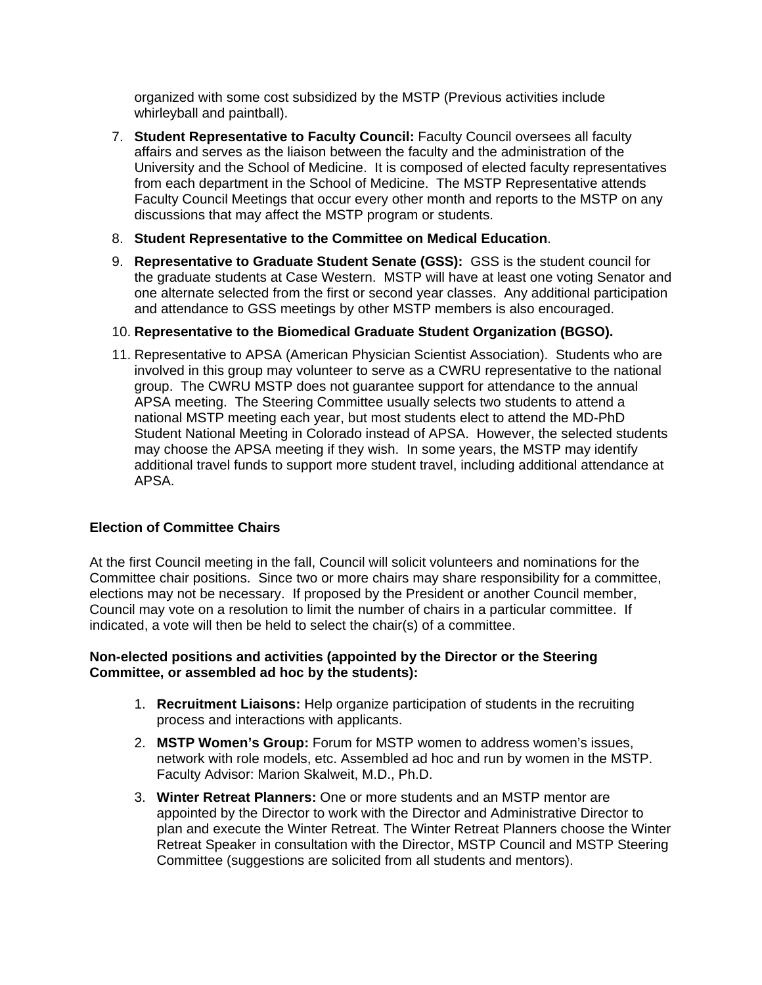organized with some cost subsidized by the MSTP (Previous activities include whirleyball and paintball).

- 7. **Student Representative to Faculty Council:** Faculty Council oversees all faculty affairs and serves as the liaison between the faculty and the administration of the University and the School of Medicine. It is composed of elected faculty representatives from each department in the School of Medicine. The MSTP Representative attends Faculty Council Meetings that occur every other month and reports to the MSTP on any discussions that may affect the MSTP program or students.
- 8. **Student Representative to the Committee on Medical Education**.
- 9. **Representative to Graduate Student Senate (GSS):** GSS is the student council for the graduate students at Case Western. MSTP will have at least one voting Senator and one alternate selected from the first or second year classes. Any additional participation and attendance to GSS meetings by other MSTP members is also encouraged.

#### 10. **Representative to the Biomedical Graduate Student Organization (BGSO).**

11. Representative to APSA (American Physician Scientist Association). Students who are involved in this group may volunteer to serve as a CWRU representative to the national group. The CWRU MSTP does not guarantee support for attendance to the annual APSA meeting. The Steering Committee usually selects two students to attend a national MSTP meeting each year, but most students elect to attend the MD-PhD Student National Meeting in Colorado instead of APSA. However, the selected students may choose the APSA meeting if they wish. In some years, the MSTP may identify additional travel funds to support more student travel, including additional attendance at APSA.

#### **Election of Committee Chairs**

At the first Council meeting in the fall, Council will solicit volunteers and nominations for the Committee chair positions. Since two or more chairs may share responsibility for a committee, elections may not be necessary. If proposed by the President or another Council member, Council may vote on a resolution to limit the number of chairs in a particular committee. If indicated, a vote will then be held to select the chair(s) of a committee.

#### **Non-elected positions and activities (appointed by the Director or the Steering Committee, or assembled ad hoc by the students):**

- 1. **Recruitment Liaisons:** Help organize participation of students in the recruiting process and interactions with applicants.
- 2. **MSTP Women's Group:** Forum for MSTP women to address women's issues, network with role models, etc. Assembled ad hoc and run by women in the MSTP. Faculty Advisor: Marion Skalweit, M.D., Ph.D.
- 3. **Winter Retreat Planners:** One or more students and an MSTP mentor are appointed by the Director to work with the Director and Administrative Director to plan and execute the Winter Retreat. The Winter Retreat Planners choose the Winter Retreat Speaker in consultation with the Director, MSTP Council and MSTP Steering Committee (suggestions are solicited from all students and mentors).